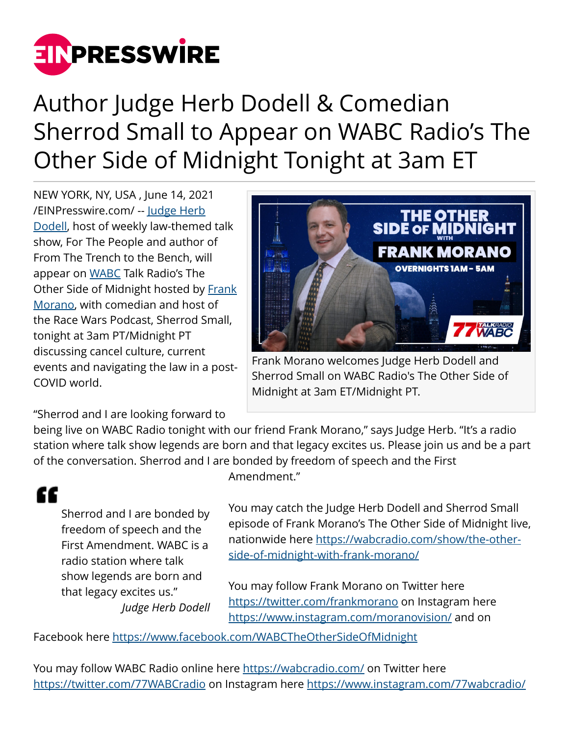

Author Judge Herb Dodell & Comedian Sherrod Small to Appear on WABC Radio's The Other Side of Midnight Tonight at 3am ET

NEW YORK, NY, USA , June 14, 2021 [/EINPresswire.com/](http://www.einpresswire.com) -- [Judge Herb](http://judgeherbdodell.us) [Dodell](http://judgeherbdodell.us), host of weekly law-themed talk show, For The People and author of From The Trench to the Bench, will appear on [WABC](http://wabcradio.com) Talk Radio's The Other Side of Midnight hosted by [Frank](http://www.facebook.com/WABCTheOtherSideOfMidnight) [Morano](http://www.facebook.com/WABCTheOtherSideOfMidnight), with comedian and host of the Race Wars Podcast, Sherrod Small, tonight at 3am PT/Midnight PT discussing cancel culture, current events and navigating the law in a post-COVID world.



Frank Morano welcomes Judge Herb Dodell and Sherrod Small on WABC Radio's The Other Side of Midnight at 3am ET/Midnight PT.

"Sherrod and I are looking forward to

being live on WABC Radio tonight with our friend Frank Morano," says Judge Herb. "It's a radio station where talk show legends are born and that legacy excites us. Please join us and be a part of the conversation. Sherrod and I are bonded by freedom of speech and the First

## "

Sherrod and I are bonded by freedom of speech and the First Amendment. WABC is a radio station where talk show legends are born and that legacy excites us." *Judge Herb Dodell* Amendment."

You may catch the Judge Herb Dodell and Sherrod Small episode of Frank Morano's The Other Side of Midnight live, nationwide here [https://wabcradio.com/show/the-other](https://wabcradio.com/show/the-other-side-of-midnight-with-frank-morano/)[side-of-midnight-with-frank-morano/](https://wabcradio.com/show/the-other-side-of-midnight-with-frank-morano/)

You may follow Frank Morano on Twitter here <https://twitter.com/frankmorano>on Instagram here <https://www.instagram.com/moranovision/> and on

Facebook here<https://www.facebook.com/WABCTheOtherSideOfMidnight>

You may follow WABC Radio online here<https://wabcradio.com/> on Twitter here <https://twitter.com/77WABCradio> on Instagram here<https://www.instagram.com/77wabcradio/>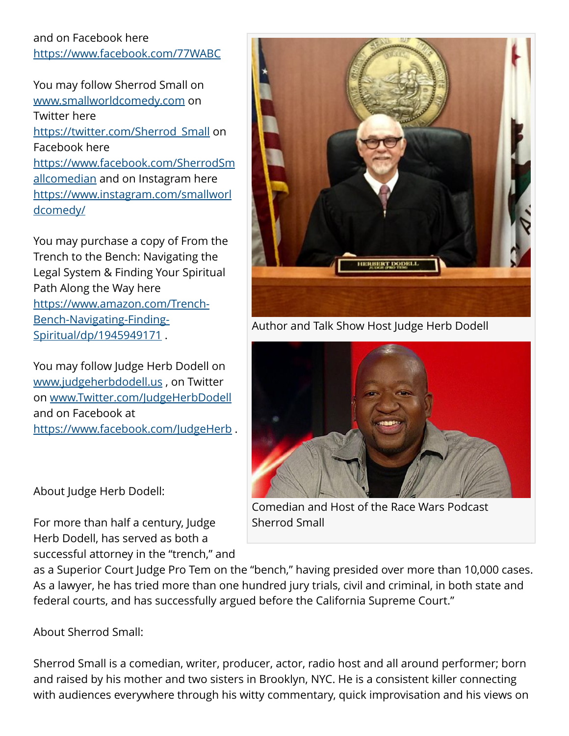## and on Facebook here <https://www.facebook.com/77WABC>

You may follow Sherrod Small on [www.smallworldcomedy.com](http://www.smallworldcomedy.com) on Twitter here [https://twitter.com/Sherrod\\_Small](https://twitter.com/Sherrod_Small) on Facebook here [https://www.facebook.com/SherrodSm](https://www.facebook.com/SherrodSmallcomedian) [allcomedian](https://www.facebook.com/SherrodSmallcomedian) and on Instagram here [https://www.instagram.com/smallworl](https://www.instagram.com/smallworldcomedy/) [dcomedy/](https://www.instagram.com/smallworldcomedy/)

You may purchase a copy of From the Trench to the Bench: Navigating the Legal System & Finding Your Spiritual Path Along the Way here [https://www.amazon.com/Trench-](https://www.amazon.com/Trench-Bench-Navigating-Finding-Spiritual/dp/1945949171)[Bench-Navigating-Finding-](https://www.amazon.com/Trench-Bench-Navigating-Finding-Spiritual/dp/1945949171)[Spiritual/dp/1945949171](https://www.amazon.com/Trench-Bench-Navigating-Finding-Spiritual/dp/1945949171).

You may follow Judge Herb Dodell on [www.judgeherbdodell.us](http://www.judgeherbdodell.us) , on Twitter on [www.Twitter.com/JudgeHerbDodell](http://www.Twitter.com/JudgeHerbDodell) and on Facebook at https://www.facebook.com/JudgeHerb.

About Judge Herb Dodell:

For more than half a century, Judge Herb Dodell, has served as both a successful attorney in the "trench," and

Author and Talk Show Host Judge Herb Dodell



Comedian and Host of the Race Wars Podcast Sherrod Small

as a Superior Court Judge Pro Tem on the "bench," having presided over more than 10,000 cases. As a lawyer, he has tried more than one hundred jury trials, civil and criminal, in both state and federal courts, and has successfully argued before the California Supreme Court."

About Sherrod Small:

Sherrod Small is a comedian, writer, producer, actor, radio host and all around performer; born and raised by his mother and two sisters in Brooklyn, NYC. He is a consistent killer connecting with audiences everywhere through his witty commentary, quick improvisation and his views on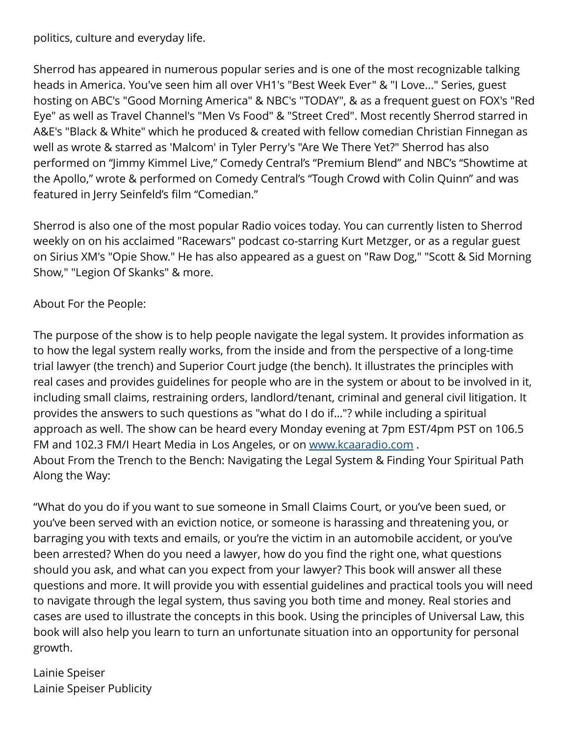politics, culture and everyday life.

Sherrod has appeared in numerous popular series and is one of the most recognizable talking heads in America. You've seen him all over VH1's "Best Week Ever" & "I Love..." Series, guest hosting on ABC's "Good Morning America" & NBC's "TODAY", & as a frequent guest on FOX's "Red Eye" as well as Travel Channel's "Men Vs Food" & "Street Cred". Most recently Sherrod starred in A&E's "Black & White" which he produced & created with fellow comedian Christian Finnegan as well as wrote & starred as 'Malcom' in Tyler Perry's "Are We There Yet?" Sherrod has also performed on "Jimmy Kimmel Live," Comedy Central's "Premium Blend" and NBC's "Showtime at the Apollo," wrote & performed on Comedy Central's "Tough Crowd with Colin Quinn" and was featured in Jerry Seinfeld's film "Comedian."

Sherrod is also one of the most popular Radio voices today. You can currently listen to Sherrod weekly on on his acclaimed "Racewars" podcast co-starring Kurt Metzger, or as a regular guest on Sirius XM's "Opie Show." He has also appeared as a guest on "Raw Dog," "Scott & Sid Morning Show," "Legion Of Skanks" & more.

About For the People:

The purpose of the show is to help people navigate the legal system. It provides information as to how the legal system really works, from the inside and from the perspective of a long-time trial lawyer (the trench) and Superior Court judge (the bench). It illustrates the principles with real cases and provides guidelines for people who are in the system or about to be involved in it, including small claims, restraining orders, landlord/tenant, criminal and general civil litigation. It provides the answers to such questions as "what do I do if…"? while including a spiritual approach as well. The show can be heard every Monday evening at 7pm EST/4pm PST on 106.5 FM and 102.3 FM/I Heart Media in Los Angeles, or on [www.kcaaradio.com](http://www.kcaaradio.com) . About From the Trench to the Bench: Navigating the Legal System & Finding Your Spiritual Path Along the Way:

"What do you do if you want to sue someone in Small Claims Court, or you've been sued, or you've been served with an eviction notice, or someone is harassing and threatening you, or barraging you with texts and emails, or you're the victim in an automobile accident, or you've been arrested? When do you need a lawyer, how do you find the right one, what questions should you ask, and what can you expect from your lawyer? This book will answer all these questions and more. It will provide you with essential guidelines and practical tools you will need to navigate through the legal system, thus saving you both time and money. Real stories and cases are used to illustrate the concepts in this book. Using the principles of Universal Law, this book will also help you learn to turn an unfortunate situation into an opportunity for personal growth.

Lainie Speiser Lainie Speiser Publicity